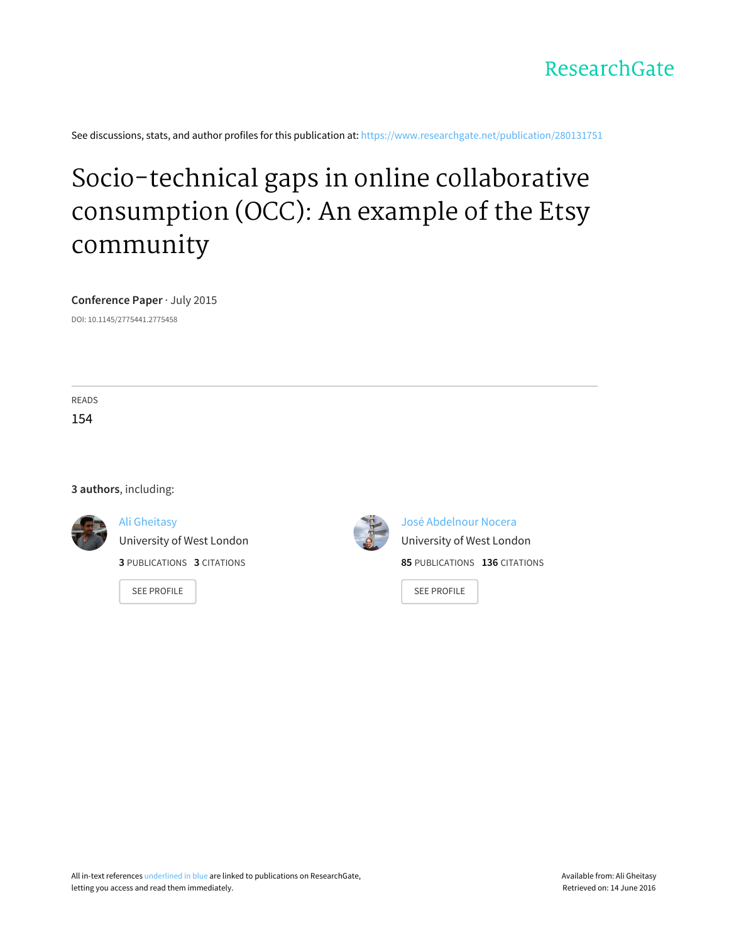

See discussions, stats, and author profiles for this publication at: [https://www.researchgate.net/publication/280131751](https://www.researchgate.net/publication/280131751_Socio-technical_gaps_in_online_collaborative_consumption_OCC_An_example_of_the_Etsy_community?enrichId=rgreq-8d2267006bc0102168c431903e8c477c-XXX&enrichSource=Y292ZXJQYWdlOzI4MDEzMTc1MTtBUzoyNTI4OTM2Mzg5NTA5MTJAMTQzNzMwNTk1MDQ3OA%3D%3D&el=1_x_2)

# [Socio-technical](https://www.researchgate.net/publication/280131751_Socio-technical_gaps_in_online_collaborative_consumption_OCC_An_example_of_the_Etsy_community?enrichId=rgreq-8d2267006bc0102168c431903e8c477c-XXX&enrichSource=Y292ZXJQYWdlOzI4MDEzMTc1MTtBUzoyNTI4OTM2Mzg5NTA5MTJAMTQzNzMwNTk1MDQ3OA%3D%3D&el=1_x_3) gaps in online collaborative consumption (OCC): An example of the Etsy community

**Conference Paper** · July 2015

DOI: 10.1145/2775441.2775458

READS 154

**3 authors**, including:



#### Ali [Gheitasy](https://www.researchgate.net/profile/Ali_Gheitasy?enrichId=rgreq-8d2267006bc0102168c431903e8c477c-XXX&enrichSource=Y292ZXJQYWdlOzI4MDEzMTc1MTtBUzoyNTI4OTM2Mzg5NTA5MTJAMTQzNzMwNTk1MDQ3OA%3D%3D&el=1_x_5)

[University](https://www.researchgate.net/institution/University_of_West_London?enrichId=rgreq-8d2267006bc0102168c431903e8c477c-XXX&enrichSource=Y292ZXJQYWdlOzI4MDEzMTc1MTtBUzoyNTI4OTM2Mzg5NTA5MTJAMTQzNzMwNTk1MDQ3OA%3D%3D&el=1_x_6) of West London

**3** PUBLICATIONS **3** CITATIONS

SEE [PROFILE](https://www.researchgate.net/profile/Ali_Gheitasy?enrichId=rgreq-8d2267006bc0102168c431903e8c477c-XXX&enrichSource=Y292ZXJQYWdlOzI4MDEzMTc1MTtBUzoyNTI4OTM2Mzg5NTA5MTJAMTQzNzMwNTk1MDQ3OA%3D%3D&el=1_x_7)



José [Abdelnour](https://www.researchgate.net/profile/Jose_Abdelnour_Nocera?enrichId=rgreq-8d2267006bc0102168c431903e8c477c-XXX&enrichSource=Y292ZXJQYWdlOzI4MDEzMTc1MTtBUzoyNTI4OTM2Mzg5NTA5MTJAMTQzNzMwNTk1MDQ3OA%3D%3D&el=1_x_5) Nocera [University](https://www.researchgate.net/institution/University_of_West_London?enrichId=rgreq-8d2267006bc0102168c431903e8c477c-XXX&enrichSource=Y292ZXJQYWdlOzI4MDEzMTc1MTtBUzoyNTI4OTM2Mzg5NTA5MTJAMTQzNzMwNTk1MDQ3OA%3D%3D&el=1_x_6) of West London **85** PUBLICATIONS **136** CITATIONS

SEE [PROFILE](https://www.researchgate.net/profile/Jose_Abdelnour_Nocera?enrichId=rgreq-8d2267006bc0102168c431903e8c477c-XXX&enrichSource=Y292ZXJQYWdlOzI4MDEzMTc1MTtBUzoyNTI4OTM2Mzg5NTA5MTJAMTQzNzMwNTk1MDQ3OA%3D%3D&el=1_x_7)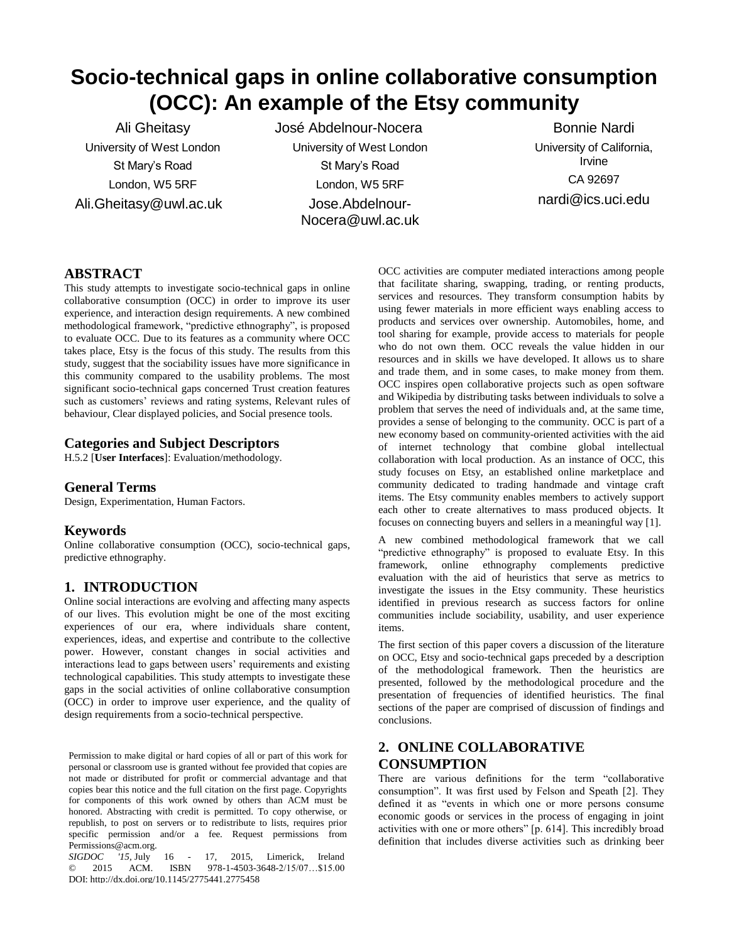# **Socio-technical gaps in online collaborative consumption (OCC): An example of the Etsy community**

Ali Gheitasy University of West London St Mary's Road London, W5 5RF Ali.Gheitasy@uwl.ac.uk José Abdelnour-Nocera University of West London St Mary's Road London, W5 5RF Jose.Abdelnour-Nocera@uwl.ac.uk

Bonnie Nardi University of California, Irvine CA 92697 nardi@ics.uci.edu

# **ABSTRACT**

This study attempts to investigate socio-technical gaps in online collaborative consumption (OCC) in order to improve its user experience, and interaction design requirements. A new combined methodological framework, "predictive ethnography", is proposed to evaluate OCC. Due to its features as a community where OCC takes place, Etsy is the focus of this study. The results from this study, suggest that the sociability issues have more significance in this community compared to the usability problems. The most significant socio-technical gaps concerned Trust creation features such as customers' reviews and rating systems, Relevant rules of behaviour, Clear displayed policies, and Social presence tools.

### **Categories and Subject Descriptors**

H.5.2 [**User Interfaces**]: Evaluation/methodology.

### **General Terms**

Design, Experimentation, Human Factors.

### **Keywords**

Online collaborative consumption (OCC), socio-technical gaps, predictive ethnography.

# **1. INTRODUCTION**

Online social interactions are evolving and affecting many aspects of our lives. This evolution might be one of the most exciting experiences of our era, where individuals share content, experiences, ideas, and expertise and contribute to the collective power. However, constant changes in social activities and interactions lead to gaps between users' requirements and existing technological capabilities. This study attempts to investigate these gaps in the social activities of online collaborative consumption (OCC) in order to improve user experience, and the quality of design requirements from a socio-technical perspective.

Permission to make digital or hard copies of all or part of this work for personal or classroom use is granted without fee provided that copies are not made or distributed for profit or commercial advantage and that copies bear this notice and the full citation on the first page. Copyrights for components of this work owned by others than ACM must be honored. Abstracting with credit is permitted. To copy otherwise, or republish, to post on servers or to redistribute to lists, requires prior specific permission and/or a fee. Request permissions from Permissions@acm.org.

*SIGDOC '15,* July 16 - 17, 2015, Limerick, Ireland © 2015 ACM. ISBN 978-1-4503-3648-2/15/07…\$15.00 DOI: http://dx.doi.org/10.1145/2775441.2775458

OCC activities are computer mediated interactions among people that facilitate sharing, swapping, trading, or renting products, services and resources. They transform consumption habits by using fewer materials in more efficient ways enabling access to products and services over ownership. Automobiles, home, and tool sharing for example, provide access to materials for people who do not own them. OCC reveals the value hidden in our resources and in skills we have developed. It allows us to share and trade them, and in some cases, to make money from them. OCC inspires open collaborative projects such as open software and Wikipedia by distributing tasks between individuals to solve a problem that serves the need of individuals and, at the same time, provides a sense of belonging to the community. OCC is part of a new economy based on community-oriented activities with the aid of internet technology that combine global intellectual collaboration with local production. As an instance of OCC, this study focuses on Etsy, an established online marketplace and community dedicated to trading handmade and vintage craft items. The Etsy community enables members to actively support each other to create alternatives to mass produced objects. It focuses on connecting buyers and sellers in a meaningful way [1].

A new combined methodological framework that we call "predictive ethnography" is proposed to evaluate Etsy. In this framework, online ethnography complements predictive evaluation with the aid of heuristics that serve as metrics to investigate the issues in the Etsy community. These heuristics identified in previous research as success factors for online communities include sociability, usability, and user experience items.

The first section of this paper covers a discussion of the literature on OCC, Etsy and socio-technical gaps preceded by a description of the methodological framework. Then the heuristics are presented, followed by the methodological procedure and the presentation of frequencies of identified heuristics. The final sections of the paper are comprised of discussion of findings and conclusions.

# **2. ONLINE COLLABORATIVE CONSUMPTION**

There are various definitions for the term "collaborative consumption". It was first used by Felson and Speath [2]. They defined it as "events in which one or more persons consume economic goods or services in the process of engaging in joint activities with one or more others" [p. 614]. This incredibly broad definition that includes diverse activities such as drinking beer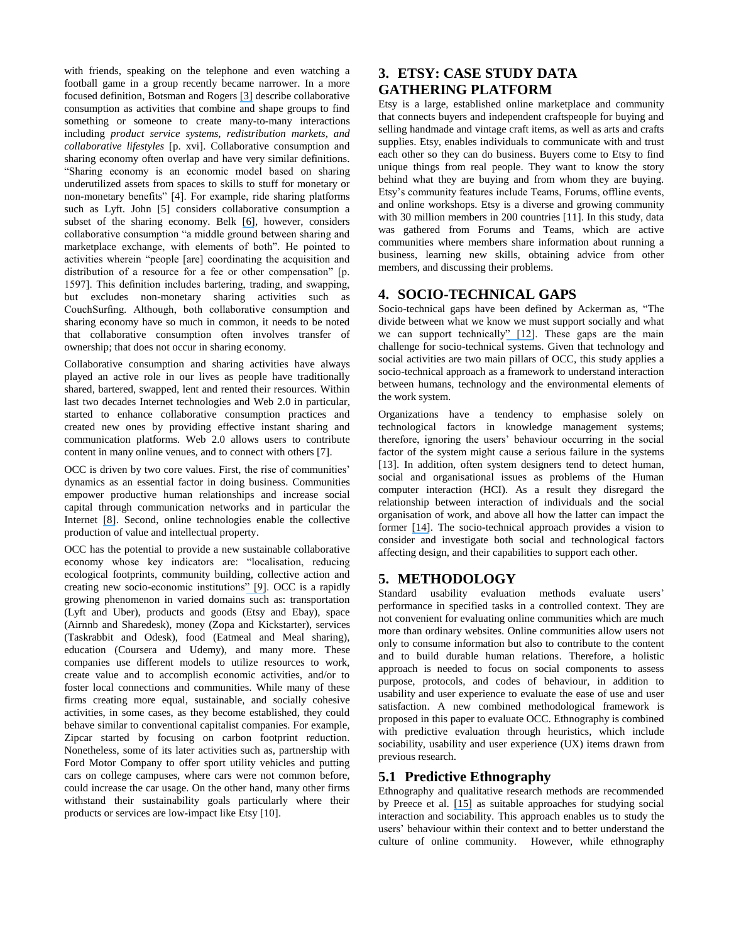with friends, speaking on the telephone and even watching a football game in a group recently became narrower. In a more focused definition, Botsman and Rogers [\[3\]](https://www.researchgate.net/publication/261043233_What) describe collaborative consumption as activities that combine and shape groups to find something or someone to create many-to-many interactions including *product service systems, redistribution markets, and collaborative lifestyles* [p. xvi]. Collaborative consumption and sharing economy often overlap and have very similar definitions. "Sharing economy is an economic model based on sharing underutilized assets from spaces to skills to stuff for monetary or non-monetary benefits" [4]. For example, ride sharing platforms such as Lyft. John [5] considers collaborative consumption a subset of the sharing economy. Belk [\[6\]](https://www.researchgate.net/publication/262490610_You_are_what_you_can_access_Sharing_and_collaborative_consumption_online?el=1_x_8&enrichId=rgreq-8d2267006bc0102168c431903e8c477c-XXX&enrichSource=Y292ZXJQYWdlOzI4MDEzMTc1MTtBUzoyNTI4OTM2Mzg5NTA5MTJAMTQzNzMwNTk1MDQ3OA==), however, considers collaborative consumption "a middle ground between sharing and marketplace exchange, with elements of both". He pointed to activities wherein "people [are] coordinating the acquisition and distribution of a resource for a fee or other compensation" [p. 1597]. This definition includes bartering, trading, and swapping, but excludes non-monetary sharing activities such as CouchSurfing. Although, both collaborative consumption and sharing economy have so much in common, it needs to be noted that collaborative consumption often involves transfer of ownership; that does not occur in sharing economy.

Collaborative consumption and sharing activities have always played an active role in our lives as people have traditionally shared, bartered, swapped, lent and rented their resources. Within last two decades Internet technologies and Web 2.0 in particular*,*  started to enhance collaborative consumption practices and created new ones by providing effective instant sharing and communication platforms. Web 2.0 allows users to contribute content in many online venues, and to connect with others [7].

OCC is driven by two core values. First, the rise of communities' dynamics as an essential factor in doing business. Communities empower productive human relationships and increase social capital through communication networks and in particular the Internet [\[8\]](https://www.researchgate.net/publication/268746575_Designing_for_Online_Collaborative_Consumption_A_Study_of_Sociotechnical_Gaps_and_Social_Capital?el=1_x_8&enrichId=rgreq-8d2267006bc0102168c431903e8c477c-XXX&enrichSource=Y292ZXJQYWdlOzI4MDEzMTc1MTtBUzoyNTI4OTM2Mzg5NTA5MTJAMTQzNzMwNTk1MDQ3OA==). Second, online technologies enable the collective production of value and intellectual property.

OCC has the potential to provide a new sustainable collaborative economy whose key indicators are: "localisation, reducing ecological footprints, community building, collective action and creating new socio-economic institutions[" \[9\]](https://www.researchgate.net/publication/242119516_Growing_Sustainable_Consumption_Communities_The_Case_of_Local_Organic_Food_Networks?el=1_x_8&enrichId=rgreq-8d2267006bc0102168c431903e8c477c-XXX&enrichSource=Y292ZXJQYWdlOzI4MDEzMTc1MTtBUzoyNTI4OTM2Mzg5NTA5MTJAMTQzNzMwNTk1MDQ3OA==). OCC is a rapidly growing phenomenon in varied domains such as: transportation (Lyft and Uber), products and goods (Etsy and Ebay), space (Airnnb and Sharedesk), money (Zopa and Kickstarter), services (Taskrabbit and Odesk), food (Eatmeal and Meal sharing), education (Coursera and Udemy), and many more. These companies use different models to utilize resources to work, create value and to accomplish economic activities, and/or to foster local connections and communities. While many of these firms creating more equal, sustainable, and socially cohesive activities, in some cases, as they become established, they could behave similar to conventional capitalist companies. For example, Zipcar started by focusing on carbon footprint reduction. Nonetheless, some of its later activities such as, partnership with Ford Motor Company to offer sport utility vehicles and putting cars on college campuses, where cars were not common before, could increase the car usage. On the other hand, many other firms withstand their sustainability goals particularly where their products or services are low-impact like Etsy [10].

# **3. ETSY: CASE STUDY DATA GATHERING PLATFORM**

Etsy is a large, established online marketplace and community that connects buyers and independent craftspeople for buying and selling handmade and vintage craft items, as well as arts and crafts supplies. Etsy, enables individuals to communicate with and trust each other so they can do business. Buyers come to Etsy to find unique things from real people. They want to know the story behind what they are buying and from whom they are buying. Etsy's community features include Teams, Forums, offline events, and online workshops. Etsy is a diverse and growing community with 30 million members in 200 countries [11]. In this study, data was gathered from Forums and Teams, which are active communities where members share information about running a business, learning new skills, obtaining advice from other members, and discussing their problems.

# **4. SOCIO-TECHNICAL GAPS**

Socio-technical gaps have been defined by Ackerman as, "The divide between what we know we must support socially and what we can support technically[" \[12\]](https://www.researchgate.net/publication/2815760_Ackerman_MS_The_Intellectual_Challenge_of_CSCW_The_Gap_Between_Social_Requirements_and_Technical_Feasibility_Hum_Comput_Interact_15_179-203?el=1_x_8&enrichId=rgreq-8d2267006bc0102168c431903e8c477c-XXX&enrichSource=Y292ZXJQYWdlOzI4MDEzMTc1MTtBUzoyNTI4OTM2Mzg5NTA5MTJAMTQzNzMwNTk1MDQ3OA==). These gaps are the main challenge for socio-technical systems. Given that technology and social activities are two main pillars of OCC, this study applies a socio-technical approach as a framework to understand interaction between humans, technology and the environmental elements of the work system.

Organizations have a tendency to emphasise solely on technological factors in knowledge management systems; therefore, ignoring the users' behaviour occurring in the social factor of the system might cause a serious failure in the systems [13]. In addition, often system designers tend to detect human, social and organisational issues as problems of the Human computer interaction (HCI). As a result they disregard the relationship between interaction of individuals and the social organisation of work, and above all how the latter can impact the former [\[14\]](https://www.researchgate.net/publication/220054725_Socio-Technical_Systems_From_Design_Methods_to_Systems_Engineering?el=1_x_8&enrichId=rgreq-8d2267006bc0102168c431903e8c477c-XXX&enrichSource=Y292ZXJQYWdlOzI4MDEzMTc1MTtBUzoyNTI4OTM2Mzg5NTA5MTJAMTQzNzMwNTk1MDQ3OA==). The socio-technical approach provides a vision to consider and investigate both social and technological factors affecting design, and their capabilities to support each other.

# **5. METHODOLOGY**

Standard usability evaluation methods evaluate users' performance in specified tasks in a controlled context. They are not convenient for evaluating online communities which are much more than ordinary websites. Online communities allow users not only to consume information but also to contribute to the content and to build durable human relations. Therefore, a holistic approach is needed to focus on social components to assess purpose, protocols, and codes of behaviour, in addition to usability and user experience to evaluate the ease of use and user satisfaction. A new combined methodological framework is proposed in this paper to evaluate OCC. Ethnography is combined with predictive evaluation through heuristics, which include sociability, usability and user experience (UX) items drawn from previous research.

# **5.1 Predictive Ethnography**

Ethnography and qualitative research methods are recommended by Preece et al. [\[15\]](https://www.researchgate.net/publication/220131910_Designing_and_evaluating_online_communities_Research_speaks_to_emerging_practice?el=1_x_8&enrichId=rgreq-8d2267006bc0102168c431903e8c477c-XXX&enrichSource=Y292ZXJQYWdlOzI4MDEzMTc1MTtBUzoyNTI4OTM2Mzg5NTA5MTJAMTQzNzMwNTk1MDQ3OA==) as suitable approaches for studying social interaction and sociability. This approach enables us to study the users' behaviour within their context and to better understand the culture of online community. However, while ethnography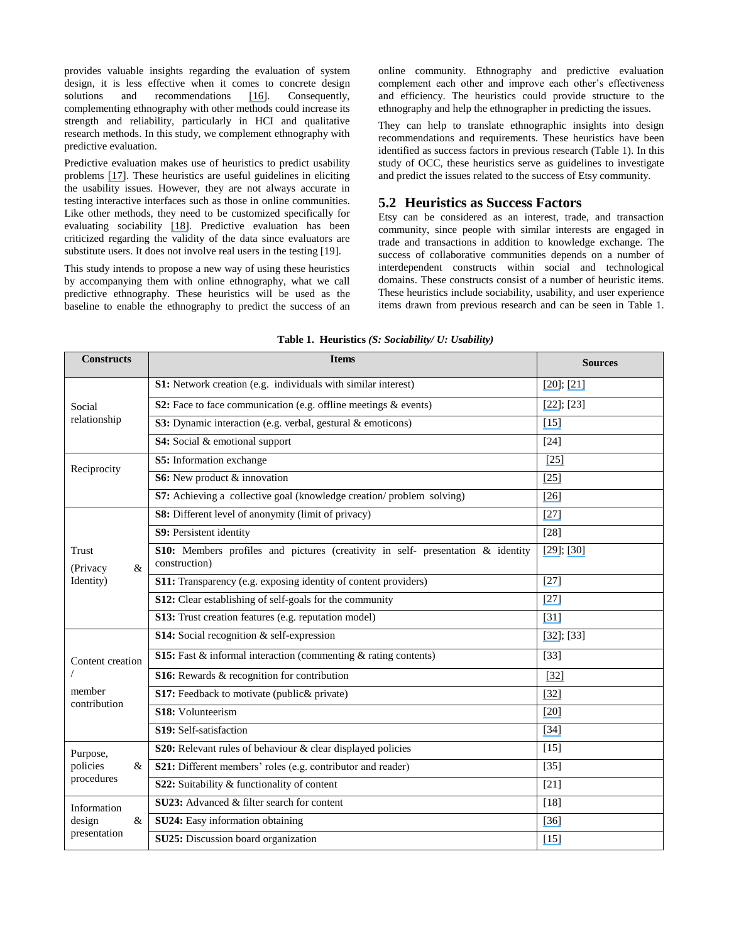provides valuable insights regarding the evaluation of system design, it is less effective when it comes to concrete design solutions and recommendations [16]. Consequently, solutions and recommendations [\[16\]](https://www.researchgate.net/publication/221513969_Ethnography_considered_harmful?el=1_x_8&enrichId=rgreq-8d2267006bc0102168c431903e8c477c-XXX&enrichSource=Y292ZXJQYWdlOzI4MDEzMTc1MTtBUzoyNTI4OTM2Mzg5NTA5MTJAMTQzNzMwNTk1MDQ3OA==). complementing ethnography with other methods could increase its strength and reliability, particularly in HCI and qualitative research methods. In this study, we complement ethnography with predictive evaluation.

Predictive evaluation makes use of heuristics to predict usability problems [\[17\]](https://www.researchgate.net/publication/221516167_Usability_Inspection_Methods?el=1_x_8&enrichId=rgreq-8d2267006bc0102168c431903e8c477c-XXX&enrichSource=Y292ZXJQYWdlOzI4MDEzMTc1MTtBUzoyNTI4OTM2Mzg5NTA5MTJAMTQzNzMwNTk1MDQ3OA==). These heuristics are useful guidelines in eliciting the usability issues. However, they are not always accurate in testing interactive interfaces such as those in online communities. Like other methods, they need to be customized specifically for evaluating sociability [\[18\]](https://www.researchgate.net/publication/220208495_Sociability_and_Usability_in_Online_Communities_Determining_and_Measuring_Success?el=1_x_8&enrichId=rgreq-8d2267006bc0102168c431903e8c477c-XXX&enrichSource=Y292ZXJQYWdlOzI4MDEzMTc1MTtBUzoyNTI4OTM2Mzg5NTA5MTJAMTQzNzMwNTk1MDQ3OA==). Predictive evaluation has been criticized regarding the validity of the data since evaluators are substitute users. It does not involve real users in the testing [19].

This study intends to propose a new way of using these heuristics by accompanying them with online ethnography, what we call predictive ethnography. These heuristics will be used as the baseline to enable the ethnography to predict the success of an online community. Ethnography and predictive evaluation complement each other and improve each other's effectiveness and efficiency. The heuristics could provide structure to the ethnography and help the ethnographer in predicting the issues.

They can help to translate ethnographic insights into design recommendations and requirements. These heuristics have been identified as success factors in previous research (Table 1). In this study of OCC, these heuristics serve as guidelines to investigate and predict the issues related to the success of Etsy community.

#### **5.2 Heuristics as Success Factors**

Etsy can be considered as an interest, trade, and transaction community, since people with similar interests are engaged in trade and transactions in addition to knowledge exchange. The success of collaborative communities depends on a number of interdependent constructs within social and technological domains. These constructs consist of a number of heuristic items. These heuristics include sociability, usability, and user experience items drawn from previous research and can be seen in Table 1.

| <b>Constructs</b>                             | <b>Items</b>                                                                                     | <b>Sources</b>  |
|-----------------------------------------------|--------------------------------------------------------------------------------------------------|-----------------|
| Social<br>relationship                        | S1: Network creation (e.g. individuals with similar interest)                                    | $[20]$ ; $[21]$ |
|                                               | S2: Face to face communication (e.g. offline meetings $&$ events)                                | $[22]$ ; $[23]$ |
|                                               | S3: Dynamic interaction (e.g. verbal, gestural & emoticons)                                      | $[15]$          |
|                                               | S4: Social & emotional support                                                                   | $[24]$          |
| Reciprocity                                   | S5: Information exchange                                                                         | $[25]$          |
|                                               | <b>S6:</b> New product & innovation                                                              | [25]            |
|                                               | S7: Achieving a collective goal (knowledge creation/problem solving)                             | [26]            |
| Trust<br>$\&$<br>(Privacy<br>Identity)        | S8: Different level of anonymity (limit of privacy)                                              | $[27]$          |
|                                               | S9: Persistent identity                                                                          | $[28]$          |
|                                               | S10: Members profiles and pictures (creativity in self- presentation & identity<br>construction) | $[29]$ ; $[30]$ |
|                                               | S11: Transparency (e.g. exposing identity of content providers)                                  | $[27]$          |
|                                               | S12: Clear establishing of self-goals for the community                                          | $[27]$          |
|                                               | S13: Trust creation features (e.g. reputation model)                                             | [31]            |
| Content creation<br>member<br>contribution    | S14: Social recognition & self-expression                                                        | $[32]$ ; [33]   |
|                                               | <b>S15:</b> Fast $\&$ informal interaction (commenting $\&$ rating contents)                     | $[33]$          |
|                                               | S16: Rewards & recognition for contribution                                                      | $[32]$          |
|                                               | S17: Feedback to motivate (public& private)                                                      | $[32]$          |
|                                               | S18: Volunteerism                                                                                | $[20]$          |
|                                               | S19: Self-satisfaction                                                                           | $[34]$          |
| Purpose,<br>policies<br>&<br>procedures       | S20: Relevant rules of behaviour & clear displayed policies                                      | $[15]$          |
|                                               | S21: Different members' roles (e.g. contributor and reader)                                      | $[35]$          |
|                                               | S22: Suitability & functionality of content                                                      | $[21]$          |
| Information<br>$\&$<br>design<br>presentation | SU23: Advanced & filter search for content                                                       | $[18]$          |
|                                               | SU24: Easy information obtaining                                                                 | $[36]$          |
|                                               | <b>SU25:</b> Discussion board organization                                                       | $[15]$          |

**Table 1. Heuristics** *(S: Sociability/ U: Usability)*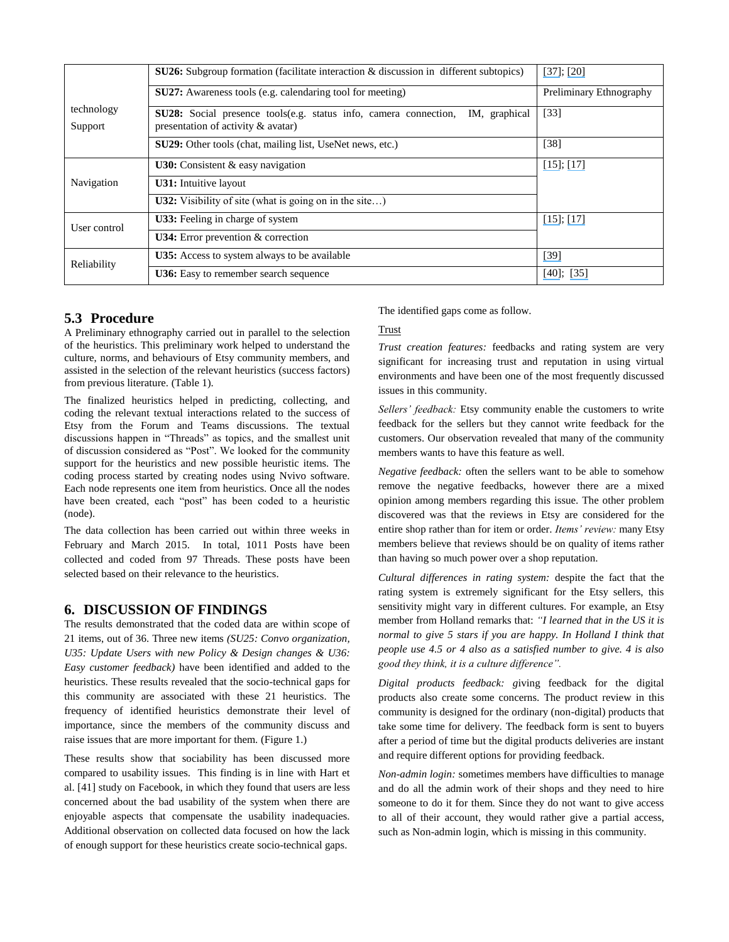| technology<br>Support | <b>SU26:</b> Subgroup formation (facilitate interaction $\&$ discussion in different subtopics)                                | [37]; [20]              |
|-----------------------|--------------------------------------------------------------------------------------------------------------------------------|-------------------------|
|                       | <b>SU27:</b> Awareness tools (e.g. calendaring tool for meeting)                                                               | Preliminary Ethnography |
|                       | <b>SU28:</b> Social presence tools(e.g. status info, camera connection,<br>IM, graphical<br>presentation of activity & avatar) | [33]                    |
|                       | <b>SU29:</b> Other tools (chat, mailing list, UseNet news, etc.)                                                               | $[38]$                  |
| Navigation            | <b>U30:</b> Consistent $\&$ easy navigation                                                                                    | [15]; [17]              |
|                       | <b>U31:</b> Intuitive layout                                                                                                   |                         |
|                       | <b>U32:</b> Visibility of site (what is going on in the site)                                                                  |                         |
| User control          | U33: Feeling in charge of system                                                                                               | [15]; [17]              |
|                       | <b>U34:</b> Error prevention $\&$ correction                                                                                   |                         |
| Reliability           | <b>U35:</b> Access to system always to be available                                                                            | $[39]$                  |
|                       | U36: Easy to remember search sequence                                                                                          | $[40]$ ; [35]           |

### **5.3 Procedure**

A Preliminary ethnography carried out in parallel to the selection of the heuristics. This preliminary work helped to understand the culture, norms, and behaviours of Etsy community members, and assisted in the selection of the relevant heuristics (success factors) from previous literature. (Table 1).

The finalized heuristics helped in predicting, collecting, and coding the relevant textual interactions related to the success of Etsy from the Forum and Teams discussions. The textual discussions happen in "Threads" as topics, and the smallest unit of discussion considered as "Post". We looked for the community support for the heuristics and new possible heuristic items. The coding process started by creating nodes using Nvivo software. Each node represents one item from heuristics. Once all the nodes have been created, each "post" has been coded to a heuristic (node).

The data collection has been carried out within three weeks in February and March 2015. In total, 1011 Posts have been collected and coded from 97 Threads. These posts have been selected based on their relevance to the heuristics.

#### **6. DISCUSSION OF FINDINGS**

The results demonstrated that the coded data are within scope of 21 items, out of 36. Three new items *(SU25: Convo organization, U35: Update Users with new Policy & Design changes & U36: Easy customer feedback)* have been identified and added to the heuristics. These results revealed that the socio-technical gaps for this community are associated with these 21 heuristics. The frequency of identified heuristics demonstrate their level of importance, since the members of the community discuss and raise issues that are more important for them. (Figure 1.)

These results show that sociability has been discussed more compared to usability issues. This finding is in line with Hart et al. [41] study on Facebook, in which they found that users are less concerned about the bad usability of the system when there are enjoyable aspects that compensate the usability inadequacies. Additional observation on collected data focused on how the lack of enough support for these heuristics create socio-technical gaps.

The identified gaps come as follow.

#### Trust

*Trust creation features:* feedbacks and rating system are very significant for increasing trust and reputation in using virtual environments and have been one of the most frequently discussed issues in this community.

*Sellers' feedback:* Etsy community enable the customers to write feedback for the sellers but they cannot write feedback for the customers. Our observation revealed that many of the community members wants to have this feature as well.

*Negative feedback:* often the sellers want to be able to somehow remove the negative feedbacks, however there are a mixed opinion among members regarding this issue. The other problem discovered was that the reviews in Etsy are considered for the entire shop rather than for item or order. *Items' review:* many Etsy members believe that reviews should be on quality of items rather than having so much power over a shop reputation.

*Cultural differences in rating system:* despite the fact that the rating system is extremely significant for the Etsy sellers, this sensitivity might vary in different cultures. For example, an Etsy member from Holland remarks that: *"I learned that in the US it is normal to give 5 stars if you are happy. In Holland I think that people use 4.5 or 4 also as a satisfied number to give. 4 is also good they think, it is a culture difference".* 

*Digital products feedback: g*iving feedback for the digital products also create some concerns. The product review in this community is designed for the ordinary (non-digital) products that take some time for delivery. The feedback form is sent to buyers after a period of time but the digital products deliveries are instant and require different options for providing feedback.

*Non-admin login:* sometimes members have difficulties to manage and do all the admin work of their shops and they need to hire someone to do it for them. Since they do not want to give access to all of their account, they would rather give a partial access, such as Non-admin login, which is missing in this community.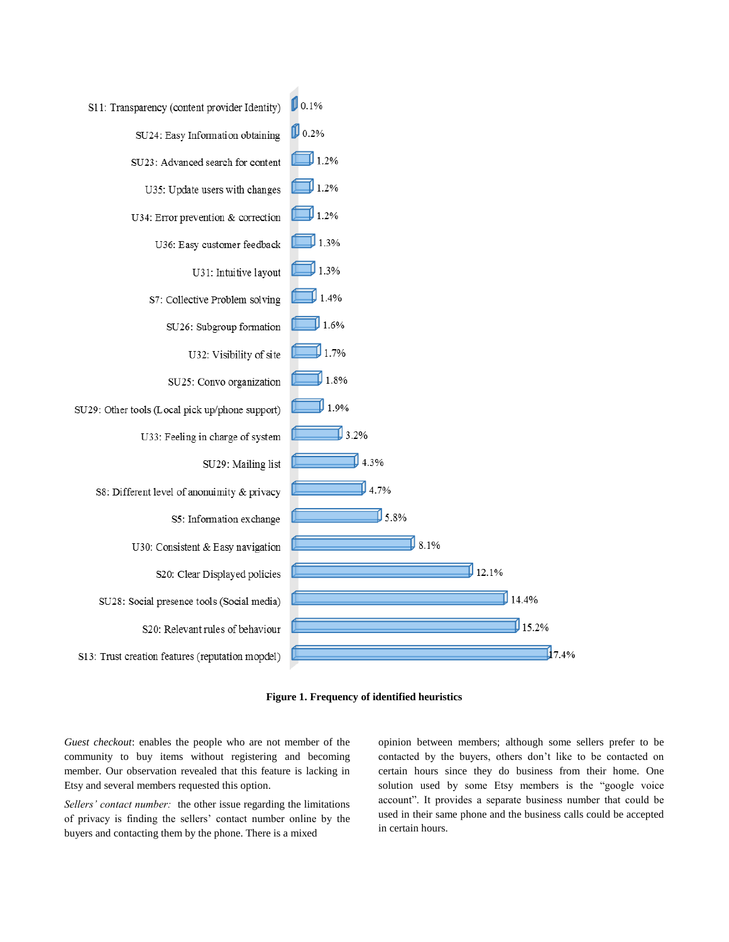



*Guest checkout*: enables the people who are not member of the community to buy items without registering and becoming member. Our observation revealed that this feature is lacking in Etsy and several members requested this option.

*Sellers' contact number:* the other issue regarding the limitations of privacy is finding the sellers' contact number online by the buyers and contacting them by the phone. There is a mixed

opinion between members; although some sellers prefer to be contacted by the buyers, others don't like to be contacted on certain hours since they do business from their home. One solution used by some Etsy members is the "google voice account". It provides a separate business number that could be used in their same phone and the business calls could be accepted in certain hours.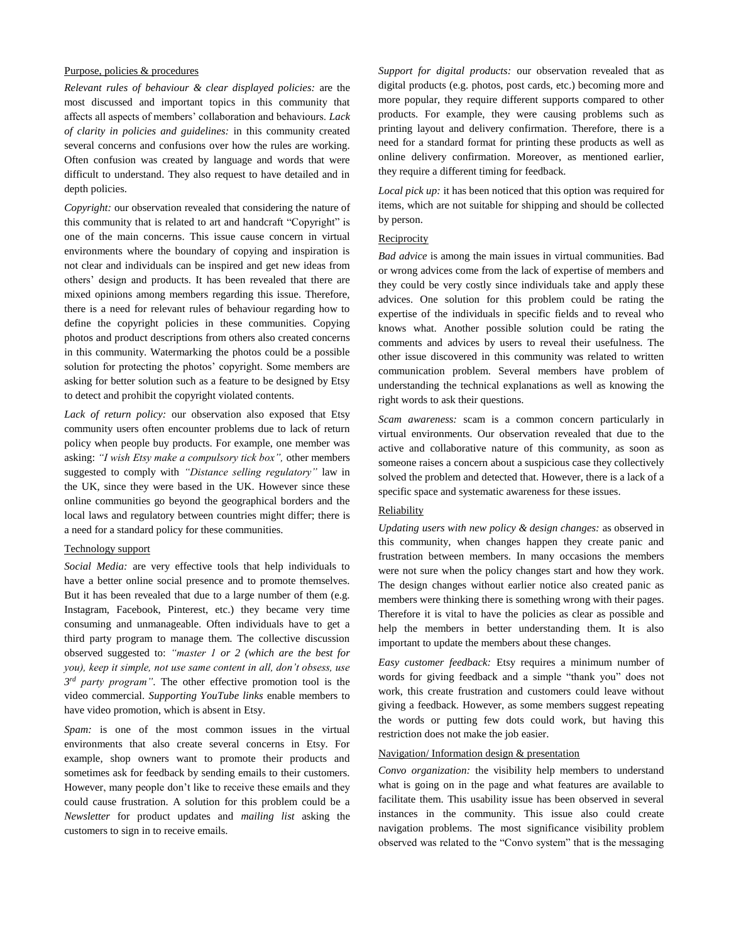#### Purpose, policies & procedures

*Relevant rules of behaviour & clear displayed policies:* are the most discussed and important topics in this community that affects all aspects of members' collaboration and behaviours. *Lack of clarity in policies and guidelines:* in this community created several concerns and confusions over how the rules are working. Often confusion was created by language and words that were difficult to understand. They also request to have detailed and in depth policies.

*Copyright:* our observation revealed that considering the nature of this community that is related to art and handcraft "Copyright" is one of the main concerns. This issue cause concern in virtual environments where the boundary of copying and inspiration is not clear and individuals can be inspired and get new ideas from others' design and products. It has been revealed that there are mixed opinions among members regarding this issue. Therefore, there is a need for relevant rules of behaviour regarding how to define the copyright policies in these communities. Copying photos and product descriptions from others also created concerns in this community. Watermarking the photos could be a possible solution for protecting the photos' copyright. Some members are asking for better solution such as a feature to be designed by Etsy to detect and prohibit the copyright violated contents.

*Lack of return policy:* our observation also exposed that Etsy community users often encounter problems due to lack of return policy when people buy products. For example, one member was asking: *"I wish Etsy make a compulsory tick box",* other members suggested to comply with *"Distance selling regulatory"* law in the UK, since they were based in the UK. However since these online communities go beyond the geographical borders and the local laws and regulatory between countries might differ; there is a need for a standard policy for these communities.

#### Technology support

*Social Media:* are very effective tools that help individuals to have a better online social presence and to promote themselves. But it has been revealed that due to a large number of them (e.g. Instagram, Facebook, Pinterest, etc.) they became very time consuming and unmanageable. Often individuals have to get a third party program to manage them. The collective discussion observed suggested to: *"master 1 or 2 (which are the best for you), keep it simple, not use same content in all, don't obsess, use 3 rd party program"*. The other effective promotion tool is the video commercial. *Supporting YouTube links* enable members to have video promotion, which is absent in Etsy.

*Spam:* is one of the most common issues in the virtual environments that also create several concerns in Etsy. For example, shop owners want to promote their products and sometimes ask for feedback by sending emails to their customers. However, many people don't like to receive these emails and they could cause frustration. A solution for this problem could be a *Newsletter* for product updates and *mailing list* asking the customers to sign in to receive emails.

*Support for digital products:* our observation revealed that as digital products (e.g. photos, post cards, etc.) becoming more and more popular, they require different supports compared to other products. For example, they were causing problems such as printing layout and delivery confirmation. Therefore, there is a need for a standard format for printing these products as well as online delivery confirmation. Moreover, as mentioned earlier, they require a different timing for feedback.

*Local pick up:* it has been noticed that this option was required for items, which are not suitable for shipping and should be collected by person.

#### **Reciprocity**

*Bad advice* is among the main issues in virtual communities. Bad or wrong advices come from the lack of expertise of members and they could be very costly since individuals take and apply these advices. One solution for this problem could be rating the expertise of the individuals in specific fields and to reveal who knows what. Another possible solution could be rating the comments and advices by users to reveal their usefulness. The other issue discovered in this community was related to written communication problem. Several members have problem of understanding the technical explanations as well as knowing the right words to ask their questions.

*Scam awareness:* scam is a common concern particularly in virtual environments. Our observation revealed that due to the active and collaborative nature of this community, as soon as someone raises a concern about a suspicious case they collectively solved the problem and detected that. However, there is a lack of a specific space and systematic awareness for these issues.

#### Reliability

*Updating users with new policy & design changes:* as observed in this community, when changes happen they create panic and frustration between members. In many occasions the members were not sure when the policy changes start and how they work. The design changes without earlier notice also created panic as members were thinking there is something wrong with their pages. Therefore it is vital to have the policies as clear as possible and help the members in better understanding them. It is also important to update the members about these changes.

*Easy customer feedback:* Etsy requires a minimum number of words for giving feedback and a simple "thank you" does not work, this create frustration and customers could leave without giving a feedback. However, as some members suggest repeating the words or putting few dots could work, but having this restriction does not make the job easier.

#### Navigation/ Information design & presentation

*Convo organization:* the visibility help members to understand what is going on in the page and what features are available to facilitate them. This usability issue has been observed in several instances in the community. This issue also could create navigation problems. The most significance visibility problem observed was related to the "Convo system" that is the messaging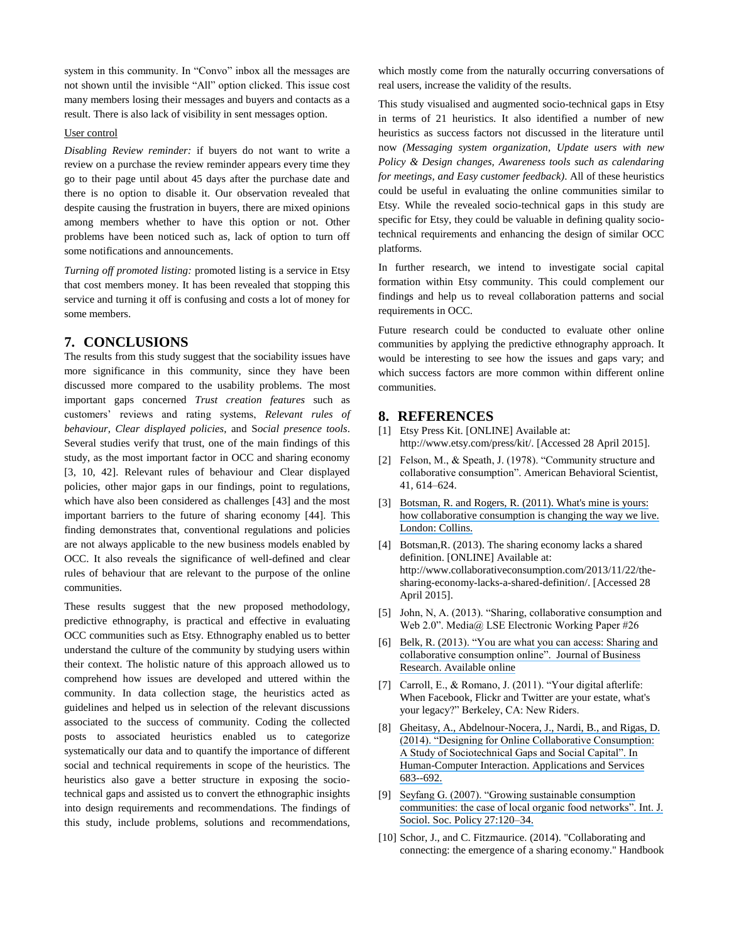system in this community. In "Convo" inbox all the messages are not shown until the invisible "All" option clicked. This issue cost many members losing their messages and buyers and contacts as a result. There is also lack of visibility in sent messages option.

#### User control

*Disabling Review reminder:* if buyers do not want to write a review on a purchase the review reminder appears every time they go to their page until about 45 days after the purchase date and there is no option to disable it. Our observation revealed that despite causing the frustration in buyers, there are mixed opinions among members whether to have this option or not. Other problems have been noticed such as, lack of option to turn off some notifications and announcements.

*Turning off promoted listing:* promoted listing is a service in Etsy that cost members money. It has been revealed that stopping this service and turning it off is confusing and costs a lot of money for some members.

#### **7. CONCLUSIONS**

The results from this study suggest that the sociability issues have more significance in this community, since they have been discussed more compared to the usability problems. The most important gaps concerned *Trust creation features* such as customers' reviews and rating systems, *Relevant rules of behaviour, Clear displayed policies*, and S*ocial presence tools*. Several studies verify that trust, one of the main findings of this study, as the most important factor in OCC and sharing economy [3, 10, 42]. Relevant rules of behaviour and Clear displayed policies, other major gaps in our findings, point to regulations, which have also been considered as challenges [43] and the most important barriers to the future of sharing economy [44]. This finding demonstrates that, conventional regulations and policies are not always applicable to the new business models enabled by OCC. It also reveals the significance of well-defined and clear rules of behaviour that are relevant to the purpose of the online communities.

These results suggest that the new proposed methodology, predictive ethnography, is practical and effective in evaluating OCC communities such as Etsy. Ethnography enabled us to better understand the culture of the community by studying users within their context. The holistic nature of this approach allowed us to comprehend how issues are developed and uttered within the community. In data collection stage, the heuristics acted as guidelines and helped us in selection of the relevant discussions associated to the success of community. Coding the collected posts to associated heuristics enabled us to categorize systematically our data and to quantify the importance of different social and technical requirements in scope of the heuristics. The heuristics also gave a better structure in exposing the sociotechnical gaps and assisted us to convert the ethnographic insights into design requirements and recommendations. The findings of this study, include problems, solutions and recommendations,

which mostly come from the naturally occurring conversations of real users, increase the validity of the results.

This study visualised and augmented socio-technical gaps in Etsy in terms of 21 heuristics. It also identified a number of new heuristics as success factors not discussed in the literature until now *(Messaging system organization, Update users with new Policy & Design changes, Awareness tools such as calendaring for meetings, and Easy customer feedback)*. All of these heuristics could be useful in evaluating the online communities similar to Etsy. While the revealed socio-technical gaps in this study are specific for Etsy, they could be valuable in defining quality sociotechnical requirements and enhancing the design of similar OCC platforms.

In further research, we intend to investigate social capital formation within Etsy community. This could complement our findings and help us to reveal collaboration patterns and social requirements in OCC.

Future research could be conducted to evaluate other online communities by applying the predictive ethnography approach. It would be interesting to see how the issues and gaps vary; and which success factors are more common within different online communities.

#### **8. REFERENCES**

- [1] Etsy Press Kit. [ONLINE] Available at: http://www.etsy.com/press/kit/. [Accessed 28 April 2015].
- [2] Felson, M., & Speath, J. (1978). "Community structure and collaborative consumption". American Behavioral Scientist, 41, 614–624.
- [3] [Botsman, R. and Rogers, R. \(2011\). What's mine is yours:](https://www.researchgate.net/publication/261043233_What) [how collaborative consumption is changing the way we live.](https://www.researchgate.net/publication/261043233_What)  [London: Collins.](https://www.researchgate.net/publication/261043233_What)
- [4] Botsman, R. (2013). The sharing economy lacks a shared definition. [ONLINE] Available at: http://www.collaborativeconsumption.com/2013/11/22/thesharing-economy-lacks-a-shared-definition/. [Accessed 28 April 2015].
- [5] John, N, A. (2013). "Sharing, collaborative consumption and Web 2.0". Media@ LSE Electronic Working Paper #26
- [6] [Belk, R. \(2013\). "You are what you can access: Sharing and](https://www.researchgate.net/publication/262490610_You_are_what_you_can_access_Sharing_and_collaborative_consumption_online?el=1_x_8&enrichId=rgreq-8d2267006bc0102168c431903e8c477c-XXX&enrichSource=Y292ZXJQYWdlOzI4MDEzMTc1MTtBUzoyNTI4OTM2Mzg5NTA5MTJAMTQzNzMwNTk1MDQ3OA==)  [collaborative consumption online". Journal of Business](https://www.researchgate.net/publication/262490610_You_are_what_you_can_access_Sharing_and_collaborative_consumption_online?el=1_x_8&enrichId=rgreq-8d2267006bc0102168c431903e8c477c-XXX&enrichSource=Y292ZXJQYWdlOzI4MDEzMTc1MTtBUzoyNTI4OTM2Mzg5NTA5MTJAMTQzNzMwNTk1MDQ3OA==) [Research. Available online](https://www.researchgate.net/publication/262490610_You_are_what_you_can_access_Sharing_and_collaborative_consumption_online?el=1_x_8&enrichId=rgreq-8d2267006bc0102168c431903e8c477c-XXX&enrichSource=Y292ZXJQYWdlOzI4MDEzMTc1MTtBUzoyNTI4OTM2Mzg5NTA5MTJAMTQzNzMwNTk1MDQ3OA==)
- [7] Carroll, E., & Romano, J. (2011). "Your digital afterlife: When Facebook, Flickr and Twitter are your estate, what's your legacy?" Berkeley, CA: New Riders.
- [8] [Gheitasy, A., Abdelnour-Nocera, J., Nardi, B., and Rigas, D.](https://www.researchgate.net/publication/268746575_Designing_for_Online_Collaborative_Consumption_A_Study_of_Sociotechnical_Gaps_and_Social_Capital?el=1_x_8&enrichId=rgreq-8d2267006bc0102168c431903e8c477c-XXX&enrichSource=Y292ZXJQYWdlOzI4MDEzMTc1MTtBUzoyNTI4OTM2Mzg5NTA5MTJAMTQzNzMwNTk1MDQ3OA==)  [\(2014\). "Designing for Online Collaborative Consumption:](https://www.researchgate.net/publication/268746575_Designing_for_Online_Collaborative_Consumption_A_Study_of_Sociotechnical_Gaps_and_Social_Capital?el=1_x_8&enrichId=rgreq-8d2267006bc0102168c431903e8c477c-XXX&enrichSource=Y292ZXJQYWdlOzI4MDEzMTc1MTtBUzoyNTI4OTM2Mzg5NTA5MTJAMTQzNzMwNTk1MDQ3OA==)  [A Study of Sociotechnical Gaps and Social Capital". In](https://www.researchgate.net/publication/268746575_Designing_for_Online_Collaborative_Consumption_A_Study_of_Sociotechnical_Gaps_and_Social_Capital?el=1_x_8&enrichId=rgreq-8d2267006bc0102168c431903e8c477c-XXX&enrichSource=Y292ZXJQYWdlOzI4MDEzMTc1MTtBUzoyNTI4OTM2Mzg5NTA5MTJAMTQzNzMwNTk1MDQ3OA==)  [Human-Computer Interaction. Applications and Services](https://www.researchgate.net/publication/268746575_Designing_for_Online_Collaborative_Consumption_A_Study_of_Sociotechnical_Gaps_and_Social_Capital?el=1_x_8&enrichId=rgreq-8d2267006bc0102168c431903e8c477c-XXX&enrichSource=Y292ZXJQYWdlOzI4MDEzMTc1MTtBUzoyNTI4OTM2Mzg5NTA5MTJAMTQzNzMwNTk1MDQ3OA==) [683--692.](https://www.researchgate.net/publication/268746575_Designing_for_Online_Collaborative_Consumption_A_Study_of_Sociotechnical_Gaps_and_Social_Capital?el=1_x_8&enrichId=rgreq-8d2267006bc0102168c431903e8c477c-XXX&enrichSource=Y292ZXJQYWdlOzI4MDEzMTc1MTtBUzoyNTI4OTM2Mzg5NTA5MTJAMTQzNzMwNTk1MDQ3OA==)
- [9] [Seyfang G. \(2007\). "Growing sustainable consumption](https://www.researchgate.net/publication/242119516_Growing_Sustainable_Consumption_Communities_The_Case_of_Local_Organic_Food_Networks?el=1_x_8&enrichId=rgreq-8d2267006bc0102168c431903e8c477c-XXX&enrichSource=Y292ZXJQYWdlOzI4MDEzMTc1MTtBUzoyNTI4OTM2Mzg5NTA5MTJAMTQzNzMwNTk1MDQ3OA==)  [communities: the case of local organic food networks". Int. J.](https://www.researchgate.net/publication/242119516_Growing_Sustainable_Consumption_Communities_The_Case_of_Local_Organic_Food_Networks?el=1_x_8&enrichId=rgreq-8d2267006bc0102168c431903e8c477c-XXX&enrichSource=Y292ZXJQYWdlOzI4MDEzMTc1MTtBUzoyNTI4OTM2Mzg5NTA5MTJAMTQzNzMwNTk1MDQ3OA==) [Sociol. Soc. Policy 27:120–34.](https://www.researchgate.net/publication/242119516_Growing_Sustainable_Consumption_Communities_The_Case_of_Local_Organic_Food_Networks?el=1_x_8&enrichId=rgreq-8d2267006bc0102168c431903e8c477c-XXX&enrichSource=Y292ZXJQYWdlOzI4MDEzMTc1MTtBUzoyNTI4OTM2Mzg5NTA5MTJAMTQzNzMwNTk1MDQ3OA==)
- [10] Schor, J., and C. Fitzmaurice. (2014). "Collaborating and connecting: the emergence of a sharing economy." Handbook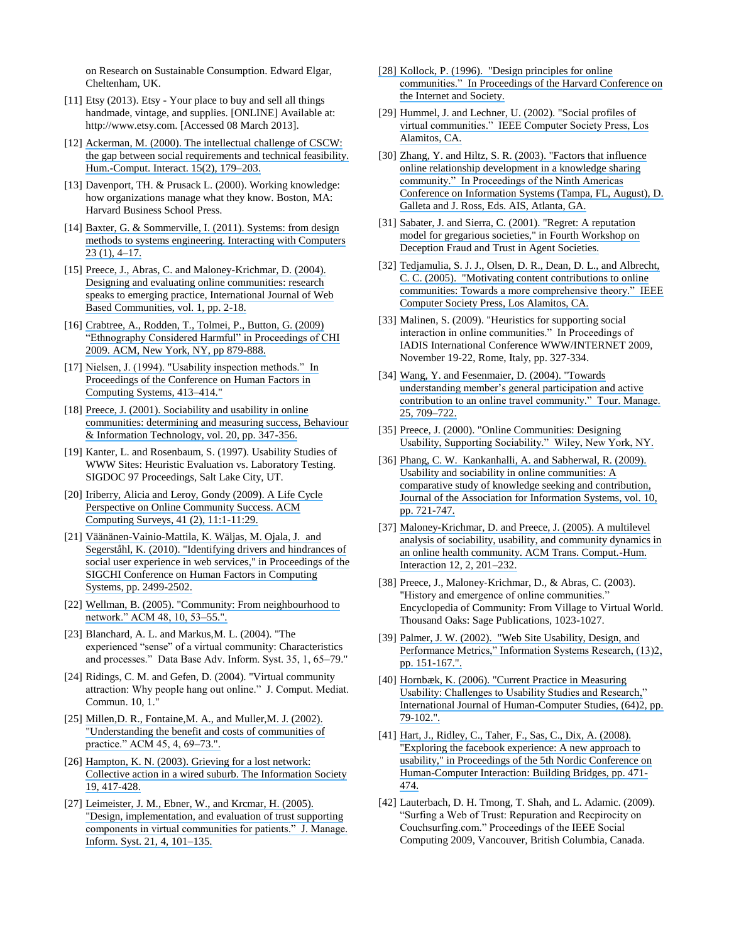on Research on Sustainable Consumption. Edward Elgar, Cheltenham, UK.

- [11] Etsy (2013). Etsy Your place to buy and sell all things handmade, vintage, and supplies. [ONLINE] Available at: http://www.etsy.com. [Accessed 08 March 2013].
- [12] [Ackerman, M. \(2000\). The intellectual challenge of CSCW:](https://www.researchgate.net/publication/2815760_Ackerman_MS_The_Intellectual_Challenge_of_CSCW_The_Gap_Between_Social_Requirements_and_Technical_Feasibility_Hum_Comput_Interact_15_179-203?el=1_x_8&enrichId=rgreq-8d2267006bc0102168c431903e8c477c-XXX&enrichSource=Y292ZXJQYWdlOzI4MDEzMTc1MTtBUzoyNTI4OTM2Mzg5NTA5MTJAMTQzNzMwNTk1MDQ3OA==)  [the gap between social requirements and technical feasibility.](https://www.researchgate.net/publication/2815760_Ackerman_MS_The_Intellectual_Challenge_of_CSCW_The_Gap_Between_Social_Requirements_and_Technical_Feasibility_Hum_Comput_Interact_15_179-203?el=1_x_8&enrichId=rgreq-8d2267006bc0102168c431903e8c477c-XXX&enrichSource=Y292ZXJQYWdlOzI4MDEzMTc1MTtBUzoyNTI4OTM2Mzg5NTA5MTJAMTQzNzMwNTk1MDQ3OA==) [Hum.-Comput. Interact. 15\(2\), 179–203.](https://www.researchgate.net/publication/2815760_Ackerman_MS_The_Intellectual_Challenge_of_CSCW_The_Gap_Between_Social_Requirements_and_Technical_Feasibility_Hum_Comput_Interact_15_179-203?el=1_x_8&enrichId=rgreq-8d2267006bc0102168c431903e8c477c-XXX&enrichSource=Y292ZXJQYWdlOzI4MDEzMTc1MTtBUzoyNTI4OTM2Mzg5NTA5MTJAMTQzNzMwNTk1MDQ3OA==)
- [13] Davenport, TH. & Prusack L. (2000). Working knowledge: how organizations manage what they know. Boston, MA: Harvard Business School Press.
- [14] [Baxter, G. & Sommerville, I. \(2011\). Systems: from design](https://www.researchgate.net/publication/220054725_Socio-Technical_Systems_From_Design_Methods_to_Systems_Engineering?el=1_x_8&enrichId=rgreq-8d2267006bc0102168c431903e8c477c-XXX&enrichSource=Y292ZXJQYWdlOzI4MDEzMTc1MTtBUzoyNTI4OTM2Mzg5NTA5MTJAMTQzNzMwNTk1MDQ3OA==) [methods to systems engineering. Interacting with Computers](https://www.researchgate.net/publication/220054725_Socio-Technical_Systems_From_Design_Methods_to_Systems_Engineering?el=1_x_8&enrichId=rgreq-8d2267006bc0102168c431903e8c477c-XXX&enrichSource=Y292ZXJQYWdlOzI4MDEzMTc1MTtBUzoyNTI4OTM2Mzg5NTA5MTJAMTQzNzMwNTk1MDQ3OA==) [23 \(1\), 4–17.](https://www.researchgate.net/publication/220054725_Socio-Technical_Systems_From_Design_Methods_to_Systems_Engineering?el=1_x_8&enrichId=rgreq-8d2267006bc0102168c431903e8c477c-XXX&enrichSource=Y292ZXJQYWdlOzI4MDEzMTc1MTtBUzoyNTI4OTM2Mzg5NTA5MTJAMTQzNzMwNTk1MDQ3OA==)
- [15] [Preece, J., Abras, C. and Maloney-Krichmar, D. \(2004\).](https://www.researchgate.net/publication/220131910_Designing_and_evaluating_online_communities_Research_speaks_to_emerging_practice?el=1_x_8&enrichId=rgreq-8d2267006bc0102168c431903e8c477c-XXX&enrichSource=Y292ZXJQYWdlOzI4MDEzMTc1MTtBUzoyNTI4OTM2Mzg5NTA5MTJAMTQzNzMwNTk1MDQ3OA==) [Designing and evaluating online communities: research](https://www.researchgate.net/publication/220131910_Designing_and_evaluating_online_communities_Research_speaks_to_emerging_practice?el=1_x_8&enrichId=rgreq-8d2267006bc0102168c431903e8c477c-XXX&enrichSource=Y292ZXJQYWdlOzI4MDEzMTc1MTtBUzoyNTI4OTM2Mzg5NTA5MTJAMTQzNzMwNTk1MDQ3OA==) [speaks to emerging practice, International Journal of Web](https://www.researchgate.net/publication/220131910_Designing_and_evaluating_online_communities_Research_speaks_to_emerging_practice?el=1_x_8&enrichId=rgreq-8d2267006bc0102168c431903e8c477c-XXX&enrichSource=Y292ZXJQYWdlOzI4MDEzMTc1MTtBUzoyNTI4OTM2Mzg5NTA5MTJAMTQzNzMwNTk1MDQ3OA==) [Based Communities, vol. 1, pp. 2-18.](https://www.researchgate.net/publication/220131910_Designing_and_evaluating_online_communities_Research_speaks_to_emerging_practice?el=1_x_8&enrichId=rgreq-8d2267006bc0102168c431903e8c477c-XXX&enrichSource=Y292ZXJQYWdlOzI4MDEzMTc1MTtBUzoyNTI4OTM2Mzg5NTA5MTJAMTQzNzMwNTk1MDQ3OA==)
- [16] [Crabtree, A., Rodden, T., Tolmei, P., Button, G. \(2009\)](https://www.researchgate.net/publication/221513969_Ethnography_considered_harmful?el=1_x_8&enrichId=rgreq-8d2267006bc0102168c431903e8c477c-XXX&enrichSource=Y292ZXJQYWdlOzI4MDEzMTc1MTtBUzoyNTI4OTM2Mzg5NTA5MTJAMTQzNzMwNTk1MDQ3OA==) ["Ethnography Considered Harmful" in Proceedings of CHI](https://www.researchgate.net/publication/221513969_Ethnography_considered_harmful?el=1_x_8&enrichId=rgreq-8d2267006bc0102168c431903e8c477c-XXX&enrichSource=Y292ZXJQYWdlOzI4MDEzMTc1MTtBUzoyNTI4OTM2Mzg5NTA5MTJAMTQzNzMwNTk1MDQ3OA==)  [2009. ACM, New York, NY, pp 879-888.](https://www.researchgate.net/publication/221513969_Ethnography_considered_harmful?el=1_x_8&enrichId=rgreq-8d2267006bc0102168c431903e8c477c-XXX&enrichSource=Y292ZXJQYWdlOzI4MDEzMTc1MTtBUzoyNTI4OTM2Mzg5NTA5MTJAMTQzNzMwNTk1MDQ3OA==)
- [17] Nielsen, J. (1994). "Usability inspection methods." In [Proceedings of the Conference on Human Factors in](https://www.researchgate.net/publication/221516167_Usability_Inspection_Methods?el=1_x_8&enrichId=rgreq-8d2267006bc0102168c431903e8c477c-XXX&enrichSource=Y292ZXJQYWdlOzI4MDEzMTc1MTtBUzoyNTI4OTM2Mzg5NTA5MTJAMTQzNzMwNTk1MDQ3OA==)  [Computing Systems, 413–414."](https://www.researchgate.net/publication/221516167_Usability_Inspection_Methods?el=1_x_8&enrichId=rgreq-8d2267006bc0102168c431903e8c477c-XXX&enrichSource=Y292ZXJQYWdlOzI4MDEzMTc1MTtBUzoyNTI4OTM2Mzg5NTA5MTJAMTQzNzMwNTk1MDQ3OA==)
- [18] [Preece, J. \(2001\). Sociability and usability in online](https://www.researchgate.net/publication/220208495_Sociability_and_Usability_in_Online_Communities_Determining_and_Measuring_Success?el=1_x_8&enrichId=rgreq-8d2267006bc0102168c431903e8c477c-XXX&enrichSource=Y292ZXJQYWdlOzI4MDEzMTc1MTtBUzoyNTI4OTM2Mzg5NTA5MTJAMTQzNzMwNTk1MDQ3OA==) [communities: determining and measuring success, Behaviour](https://www.researchgate.net/publication/220208495_Sociability_and_Usability_in_Online_Communities_Determining_and_Measuring_Success?el=1_x_8&enrichId=rgreq-8d2267006bc0102168c431903e8c477c-XXX&enrichSource=Y292ZXJQYWdlOzI4MDEzMTc1MTtBUzoyNTI4OTM2Mzg5NTA5MTJAMTQzNzMwNTk1MDQ3OA==)  [& Information Technology, vol. 20, pp. 347-356.](https://www.researchgate.net/publication/220208495_Sociability_and_Usability_in_Online_Communities_Determining_and_Measuring_Success?el=1_x_8&enrichId=rgreq-8d2267006bc0102168c431903e8c477c-XXX&enrichSource=Y292ZXJQYWdlOzI4MDEzMTc1MTtBUzoyNTI4OTM2Mzg5NTA5MTJAMTQzNzMwNTk1MDQ3OA==)
- [19] Kanter, L. and Rosenbaum, S. (1997). Usability Studies of WWW Sites: Heuristic Evaluation vs. Laboratory Testing. SIGDOC 97 Proceedings, Salt Lake City, UT.
- [20] [Iriberry, Alicia and Leroy, Gondy \(2009\). A Life](https://www.researchgate.net/publication/220566648_A_Life-Cycle_Perspective_on_Online_Community_Success?el=1_x_8&enrichId=rgreq-8d2267006bc0102168c431903e8c477c-XXX&enrichSource=Y292ZXJQYWdlOzI4MDEzMTc1MTtBUzoyNTI4OTM2Mzg5NTA5MTJAMTQzNzMwNTk1MDQ3OA==) Cycle [Perspective on Online Community Success. ACM](https://www.researchgate.net/publication/220566648_A_Life-Cycle_Perspective_on_Online_Community_Success?el=1_x_8&enrichId=rgreq-8d2267006bc0102168c431903e8c477c-XXX&enrichSource=Y292ZXJQYWdlOzI4MDEzMTc1MTtBUzoyNTI4OTM2Mzg5NTA5MTJAMTQzNzMwNTk1MDQ3OA==) [Computing Surveys, 41 \(2\), 11:1-11:29.](https://www.researchgate.net/publication/220566648_A_Life-Cycle_Perspective_on_Online_Community_Success?el=1_x_8&enrichId=rgreq-8d2267006bc0102168c431903e8c477c-XXX&enrichSource=Y292ZXJQYWdlOzI4MDEzMTc1MTtBUzoyNTI4OTM2Mzg5NTA5MTJAMTQzNzMwNTk1MDQ3OA==)
- [21] [Väänänen-Vainio-Mattila, K. Wäljas, M. Ojala, J. and](https://www.researchgate.net/publication/221519212_Identifying_drivers_and_hindrances_of_social_user_experience_in_web_services?el=1_x_8&enrichId=rgreq-8d2267006bc0102168c431903e8c477c-XXX&enrichSource=Y292ZXJQYWdlOzI4MDEzMTc1MTtBUzoyNTI4OTM2Mzg5NTA5MTJAMTQzNzMwNTk1MDQ3OA==)  [Segerståhl, K. \(2010\). "Identifying drivers and hindrances of](https://www.researchgate.net/publication/221519212_Identifying_drivers_and_hindrances_of_social_user_experience_in_web_services?el=1_x_8&enrichId=rgreq-8d2267006bc0102168c431903e8c477c-XXX&enrichSource=Y292ZXJQYWdlOzI4MDEzMTc1MTtBUzoyNTI4OTM2Mzg5NTA5MTJAMTQzNzMwNTk1MDQ3OA==)  [social user experience in web services," in Proceedings of the](https://www.researchgate.net/publication/221519212_Identifying_drivers_and_hindrances_of_social_user_experience_in_web_services?el=1_x_8&enrichId=rgreq-8d2267006bc0102168c431903e8c477c-XXX&enrichSource=Y292ZXJQYWdlOzI4MDEzMTc1MTtBUzoyNTI4OTM2Mzg5NTA5MTJAMTQzNzMwNTk1MDQ3OA==)  [SIGCHI Conference on Human Factors in Computing](https://www.researchgate.net/publication/221519212_Identifying_drivers_and_hindrances_of_social_user_experience_in_web_services?el=1_x_8&enrichId=rgreq-8d2267006bc0102168c431903e8c477c-XXX&enrichSource=Y292ZXJQYWdlOzI4MDEzMTc1MTtBUzoyNTI4OTM2Mzg5NTA5MTJAMTQzNzMwNTk1MDQ3OA==)  [Systems, pp. 2499-2502.](https://www.researchgate.net/publication/221519212_Identifying_drivers_and_hindrances_of_social_user_experience_in_web_services?el=1_x_8&enrichId=rgreq-8d2267006bc0102168c431903e8c477c-XXX&enrichSource=Y292ZXJQYWdlOzI4MDEzMTc1MTtBUzoyNTI4OTM2Mzg5NTA5MTJAMTQzNzMwNTk1MDQ3OA==)
- [22] Wellman, B. (2005). "Community: From neighbourhood to [network." ACM 48, 10, 53–55.".](https://www.researchgate.net/publication/220427663_Community_From_neighborhood_to_network?el=1_x_8&enrichId=rgreq-8d2267006bc0102168c431903e8c477c-XXX&enrichSource=Y292ZXJQYWdlOzI4MDEzMTc1MTtBUzoyNTI4OTM2Mzg5NTA5MTJAMTQzNzMwNTk1MDQ3OA==)
- [23] Blanchard, A. L. and Markus,M. L. (2004). "The experienced "sense" of a virtual community: Characteristics and processes." Data Base Adv. Inform. Syst. 35, 1, 65–79."
- [24] Ridings, C. M. and Gefen, D. (2004). "Virtual community attraction: Why people hang out online." J. Comput. Mediat. Commun. 10, 1."
- [25] Millen, D. R., Fontaine, M. A., and Muller, M. J. (2002). ["Understanding the benefit and costs of communities of](https://www.researchgate.net/publication/279982408_Understanding_the_benefit_and_costs_of_communities_of_practice?el=1_x_8&enrichId=rgreq-8d2267006bc0102168c431903e8c477c-XXX&enrichSource=Y292ZXJQYWdlOzI4MDEzMTc1MTtBUzoyNTI4OTM2Mzg5NTA5MTJAMTQzNzMwNTk1MDQ3OA==)  [practice." ACM 45, 4, 69–73.".](https://www.researchgate.net/publication/279982408_Understanding_the_benefit_and_costs_of_communities_of_practice?el=1_x_8&enrichId=rgreq-8d2267006bc0102168c431903e8c477c-XXX&enrichSource=Y292ZXJQYWdlOzI4MDEzMTc1MTtBUzoyNTI4OTM2Mzg5NTA5MTJAMTQzNzMwNTk1MDQ3OA==)
- [26] [Hampton, K. N. \(2003\). Grieving for a lost network:](https://www.researchgate.net/publication/2376550_Grieving_for_a_Lost_Network_-_Collective_Action_in_a_Wired_Suburb?el=1_x_8&enrichId=rgreq-8d2267006bc0102168c431903e8c477c-XXX&enrichSource=Y292ZXJQYWdlOzI4MDEzMTc1MTtBUzoyNTI4OTM2Mzg5NTA5MTJAMTQzNzMwNTk1MDQ3OA==) [Collective action in a wired suburb. The Information Society](https://www.researchgate.net/publication/2376550_Grieving_for_a_Lost_Network_-_Collective_Action_in_a_Wired_Suburb?el=1_x_8&enrichId=rgreq-8d2267006bc0102168c431903e8c477c-XXX&enrichSource=Y292ZXJQYWdlOzI4MDEzMTc1MTtBUzoyNTI4OTM2Mzg5NTA5MTJAMTQzNzMwNTk1MDQ3OA==) [19, 417-428.](https://www.researchgate.net/publication/2376550_Grieving_for_a_Lost_Network_-_Collective_Action_in_a_Wired_Suburb?el=1_x_8&enrichId=rgreq-8d2267006bc0102168c431903e8c477c-XXX&enrichSource=Y292ZXJQYWdlOzI4MDEzMTc1MTtBUzoyNTI4OTM2Mzg5NTA5MTJAMTQzNzMwNTk1MDQ3OA==)
- [27] Leimeister, J. M., Ebner, W., and Krcmar, H. (2005). ["Design, implementation, and evaluation of trust supporting](https://www.researchgate.net/publication/220591738_Design_Implementation_and_Evaluation_of_Trust-Supporting_Components_in_Virtual_Communities_for_Patients?el=1_x_8&enrichId=rgreq-8d2267006bc0102168c431903e8c477c-XXX&enrichSource=Y292ZXJQYWdlOzI4MDEzMTc1MTtBUzoyNTI4OTM2Mzg5NTA5MTJAMTQzNzMwNTk1MDQ3OA==) [components in virtual communities for patients." J. Manage.](https://www.researchgate.net/publication/220591738_Design_Implementation_and_Evaluation_of_Trust-Supporting_Components_in_Virtual_Communities_for_Patients?el=1_x_8&enrichId=rgreq-8d2267006bc0102168c431903e8c477c-XXX&enrichSource=Y292ZXJQYWdlOzI4MDEzMTc1MTtBUzoyNTI4OTM2Mzg5NTA5MTJAMTQzNzMwNTk1MDQ3OA==) [Inform. Syst. 21, 4, 101–135.](https://www.researchgate.net/publication/220591738_Design_Implementation_and_Evaluation_of_Trust-Supporting_Components_in_Virtual_Communities_for_Patients?el=1_x_8&enrichId=rgreq-8d2267006bc0102168c431903e8c477c-XXX&enrichSource=Y292ZXJQYWdlOzI4MDEzMTc1MTtBUzoyNTI4OTM2Mzg5NTA5MTJAMTQzNzMwNTk1MDQ3OA==)
- [28] [Kollock, P. \(1996\). "Design principles for online](https://www.researchgate.net/publication/242609192_Design_principles_for_online_communities?el=1_x_8&enrichId=rgreq-8d2267006bc0102168c431903e8c477c-XXX&enrichSource=Y292ZXJQYWdlOzI4MDEzMTc1MTtBUzoyNTI4OTM2Mzg5NTA5MTJAMTQzNzMwNTk1MDQ3OA==)  [communities." In Proceedings of the Harvard Conference on](https://www.researchgate.net/publication/242609192_Design_principles_for_online_communities?el=1_x_8&enrichId=rgreq-8d2267006bc0102168c431903e8c477c-XXX&enrichSource=Y292ZXJQYWdlOzI4MDEzMTc1MTtBUzoyNTI4OTM2Mzg5NTA5MTJAMTQzNzMwNTk1MDQ3OA==)  [the Internet and Society.](https://www.researchgate.net/publication/242609192_Design_principles_for_online_communities?el=1_x_8&enrichId=rgreq-8d2267006bc0102168c431903e8c477c-XXX&enrichSource=Y292ZXJQYWdlOzI4MDEzMTc1MTtBUzoyNTI4OTM2Mzg5NTA5MTJAMTQzNzMwNTk1MDQ3OA==)
- [29] [Hummel, J. and Lechner, U. \(2002\). "Social profiles of](https://www.researchgate.net/publication/224075937_Social_profiles_of_virtual_communities?el=1_x_8&enrichId=rgreq-8d2267006bc0102168c431903e8c477c-XXX&enrichSource=Y292ZXJQYWdlOzI4MDEzMTc1MTtBUzoyNTI4OTM2Mzg5NTA5MTJAMTQzNzMwNTk1MDQ3OA==) [virtual communities." IEEE Computer Society Press, Los](https://www.researchgate.net/publication/224075937_Social_profiles_of_virtual_communities?el=1_x_8&enrichId=rgreq-8d2267006bc0102168c431903e8c477c-XXX&enrichSource=Y292ZXJQYWdlOzI4MDEzMTc1MTtBUzoyNTI4OTM2Mzg5NTA5MTJAMTQzNzMwNTk1MDQ3OA==) [Alamitos, CA.](https://www.researchgate.net/publication/224075937_Social_profiles_of_virtual_communities?el=1_x_8&enrichId=rgreq-8d2267006bc0102168c431903e8c477c-XXX&enrichSource=Y292ZXJQYWdlOzI4MDEzMTc1MTtBUzoyNTI4OTM2Mzg5NTA5MTJAMTQzNzMwNTk1MDQ3OA==)
- [30] [Zhang, Y. and Hiltz, S. R. \(2003\). "Factors that influence](https://www.researchgate.net/publication/220889973_Factors_that_Influence_Online_Relationship_Development_in_a_Knowledge_Sharing_Community?el=1_x_8&enrichId=rgreq-8d2267006bc0102168c431903e8c477c-XXX&enrichSource=Y292ZXJQYWdlOzI4MDEzMTc1MTtBUzoyNTI4OTM2Mzg5NTA5MTJAMTQzNzMwNTk1MDQ3OA==) [online relationship development in a knowledge sharing](https://www.researchgate.net/publication/220889973_Factors_that_Influence_Online_Relationship_Development_in_a_Knowledge_Sharing_Community?el=1_x_8&enrichId=rgreq-8d2267006bc0102168c431903e8c477c-XXX&enrichSource=Y292ZXJQYWdlOzI4MDEzMTc1MTtBUzoyNTI4OTM2Mzg5NTA5MTJAMTQzNzMwNTk1MDQ3OA==) [community." In Proceedings of the Ninth Americas](https://www.researchgate.net/publication/220889973_Factors_that_Influence_Online_Relationship_Development_in_a_Knowledge_Sharing_Community?el=1_x_8&enrichId=rgreq-8d2267006bc0102168c431903e8c477c-XXX&enrichSource=Y292ZXJQYWdlOzI4MDEzMTc1MTtBUzoyNTI4OTM2Mzg5NTA5MTJAMTQzNzMwNTk1MDQ3OA==)  [Conference on Information Systems \(Tampa, FL, August\), D.](https://www.researchgate.net/publication/220889973_Factors_that_Influence_Online_Relationship_Development_in_a_Knowledge_Sharing_Community?el=1_x_8&enrichId=rgreq-8d2267006bc0102168c431903e8c477c-XXX&enrichSource=Y292ZXJQYWdlOzI4MDEzMTc1MTtBUzoyNTI4OTM2Mzg5NTA5MTJAMTQzNzMwNTk1MDQ3OA==) [Galleta and J. Ross, Eds. AIS, Atlanta, GA.](https://www.researchgate.net/publication/220889973_Factors_that_Influence_Online_Relationship_Development_in_a_Knowledge_Sharing_Community?el=1_x_8&enrichId=rgreq-8d2267006bc0102168c431903e8c477c-XXX&enrichSource=Y292ZXJQYWdlOzI4MDEzMTc1MTtBUzoyNTI4OTM2Mzg5NTA5MTJAMTQzNzMwNTk1MDQ3OA==)
- [31] [Sabater, J. and Sierra, C. \(2001\). "Regret: A](https://www.researchgate.net/publication/2863070_REGRET_A_reputation_model_for_gregarious_societies?el=1_x_8&enrichId=rgreq-8d2267006bc0102168c431903e8c477c-XXX&enrichSource=Y292ZXJQYWdlOzI4MDEzMTc1MTtBUzoyNTI4OTM2Mzg5NTA5MTJAMTQzNzMwNTk1MDQ3OA==) reputation [model for gregarious societies," in Fourth Workshop on](https://www.researchgate.net/publication/2863070_REGRET_A_reputation_model_for_gregarious_societies?el=1_x_8&enrichId=rgreq-8d2267006bc0102168c431903e8c477c-XXX&enrichSource=Y292ZXJQYWdlOzI4MDEzMTc1MTtBUzoyNTI4OTM2Mzg5NTA5MTJAMTQzNzMwNTk1MDQ3OA==) [Deception Fraud and Trust in Agent Societies.](https://www.researchgate.net/publication/2863070_REGRET_A_reputation_model_for_gregarious_societies?el=1_x_8&enrichId=rgreq-8d2267006bc0102168c431903e8c477c-XXX&enrichSource=Y292ZXJQYWdlOzI4MDEzMTc1MTtBUzoyNTI4OTM2Mzg5NTA5MTJAMTQzNzMwNTk1MDQ3OA==)
- [32] [Tedjamulia, S. J. J., Olsen, D. R., Dean, D. L., and Albrecht,](https://www.researchgate.net/publication/221180865_Motivating_Content_Contributions_to_Online_Communities_Toward_a_More_Comprehensive_Theory?el=1_x_8&enrichId=rgreq-8d2267006bc0102168c431903e8c477c-XXX&enrichSource=Y292ZXJQYWdlOzI4MDEzMTc1MTtBUzoyNTI4OTM2Mzg5NTA5MTJAMTQzNzMwNTk1MDQ3OA==) [C. C. \(2005\). "Motivating content contributions to online](https://www.researchgate.net/publication/221180865_Motivating_Content_Contributions_to_Online_Communities_Toward_a_More_Comprehensive_Theory?el=1_x_8&enrichId=rgreq-8d2267006bc0102168c431903e8c477c-XXX&enrichSource=Y292ZXJQYWdlOzI4MDEzMTc1MTtBUzoyNTI4OTM2Mzg5NTA5MTJAMTQzNzMwNTk1MDQ3OA==)  [communities: Towards a more comprehensive theory." IEEE](https://www.researchgate.net/publication/221180865_Motivating_Content_Contributions_to_Online_Communities_Toward_a_More_Comprehensive_Theory?el=1_x_8&enrichId=rgreq-8d2267006bc0102168c431903e8c477c-XXX&enrichSource=Y292ZXJQYWdlOzI4MDEzMTc1MTtBUzoyNTI4OTM2Mzg5NTA5MTJAMTQzNzMwNTk1MDQ3OA==) [Computer Society Press, Los Alamitos, CA.](https://www.researchgate.net/publication/221180865_Motivating_Content_Contributions_to_Online_Communities_Toward_a_More_Comprehensive_Theory?el=1_x_8&enrichId=rgreq-8d2267006bc0102168c431903e8c477c-XXX&enrichSource=Y292ZXJQYWdlOzI4MDEzMTc1MTtBUzoyNTI4OTM2Mzg5NTA5MTJAMTQzNzMwNTk1MDQ3OA==)
- [33] Malinen, S. (2009). "Heuristics for supporting social interaction in online communities." In Proceedings of IADIS International Conference WWW/INTERNET 2009, November 19-22, Rome, Italy, pp. 327-334.
- [34] [Wang, Y. and Fesenmaier, D. \(2004\). "Towards](https://www.researchgate.net/publication/222845947_Towards_understanding_members)  [understanding member's general participation and active](https://www.researchgate.net/publication/222845947_Towards_understanding_members)  [contribution to an online travel community." Tour. Manage.](https://www.researchgate.net/publication/222845947_Towards_understanding_members)  [25, 709–722.](https://www.researchgate.net/publication/222845947_Towards_understanding_members)
- [35] Preece, J. (2000). "Online Communities: Designing [Usability, Supporting Sociability." Wiley, New York, NY.](https://www.researchgate.net/publication/247055951_Online_Communities_Supporting_Sociability_Designing_Usability?el=1_x_8&enrichId=rgreq-8d2267006bc0102168c431903e8c477c-XXX&enrichSource=Y292ZXJQYWdlOzI4MDEzMTc1MTtBUzoyNTI4OTM2Mzg5NTA5MTJAMTQzNzMwNTk1MDQ3OA==)
- [36] [Phang, C. W. Kankanhalli, A. and Sabherwal, R. \(2009\).](https://www.researchgate.net/publication/220580552_Usability_and_Sociability_in_Online_Communities_A_Comparative_Study_of_Knowledge_Seeking_and_Contribution?el=1_x_8&enrichId=rgreq-8d2267006bc0102168c431903e8c477c-XXX&enrichSource=Y292ZXJQYWdlOzI4MDEzMTc1MTtBUzoyNTI4OTM2Mzg5NTA5MTJAMTQzNzMwNTk1MDQ3OA==) [Usability and sociability in online communities: A](https://www.researchgate.net/publication/220580552_Usability_and_Sociability_in_Online_Communities_A_Comparative_Study_of_Knowledge_Seeking_and_Contribution?el=1_x_8&enrichId=rgreq-8d2267006bc0102168c431903e8c477c-XXX&enrichSource=Y292ZXJQYWdlOzI4MDEzMTc1MTtBUzoyNTI4OTM2Mzg5NTA5MTJAMTQzNzMwNTk1MDQ3OA==)  [comparative study of knowledge seeking and contribution,](https://www.researchgate.net/publication/220580552_Usability_and_Sociability_in_Online_Communities_A_Comparative_Study_of_Knowledge_Seeking_and_Contribution?el=1_x_8&enrichId=rgreq-8d2267006bc0102168c431903e8c477c-XXX&enrichSource=Y292ZXJQYWdlOzI4MDEzMTc1MTtBUzoyNTI4OTM2Mzg5NTA5MTJAMTQzNzMwNTk1MDQ3OA==) [Journal of the Association for Information Systems, vol. 10,](https://www.researchgate.net/publication/220580552_Usability_and_Sociability_in_Online_Communities_A_Comparative_Study_of_Knowledge_Seeking_and_Contribution?el=1_x_8&enrichId=rgreq-8d2267006bc0102168c431903e8c477c-XXX&enrichSource=Y292ZXJQYWdlOzI4MDEzMTc1MTtBUzoyNTI4OTM2Mzg5NTA5MTJAMTQzNzMwNTk1MDQ3OA==) [pp. 721-747.](https://www.researchgate.net/publication/220580552_Usability_and_Sociability_in_Online_Communities_A_Comparative_Study_of_Knowledge_Seeking_and_Contribution?el=1_x_8&enrichId=rgreq-8d2267006bc0102168c431903e8c477c-XXX&enrichSource=Y292ZXJQYWdlOzI4MDEzMTc1MTtBUzoyNTI4OTM2Mzg5NTA5MTJAMTQzNzMwNTk1MDQ3OA==)
- [37] [Maloney-Krichmar, D. and Preece, J. \(2005\). A multilevel](https://www.researchgate.net/publication/220286368_A_multilevel_analysis_of_sociability_usability_and_community_dynamics_in_an_online_health_community?el=1_x_8&enrichId=rgreq-8d2267006bc0102168c431903e8c477c-XXX&enrichSource=Y292ZXJQYWdlOzI4MDEzMTc1MTtBUzoyNTI4OTM2Mzg5NTA5MTJAMTQzNzMwNTk1MDQ3OA==) [analysis of sociability, usability, and community dynamics in](https://www.researchgate.net/publication/220286368_A_multilevel_analysis_of_sociability_usability_and_community_dynamics_in_an_online_health_community?el=1_x_8&enrichId=rgreq-8d2267006bc0102168c431903e8c477c-XXX&enrichSource=Y292ZXJQYWdlOzI4MDEzMTc1MTtBUzoyNTI4OTM2Mzg5NTA5MTJAMTQzNzMwNTk1MDQ3OA==)  [an online health community. ACM Trans. Comput.-Hum.](https://www.researchgate.net/publication/220286368_A_multilevel_analysis_of_sociability_usability_and_community_dynamics_in_an_online_health_community?el=1_x_8&enrichId=rgreq-8d2267006bc0102168c431903e8c477c-XXX&enrichSource=Y292ZXJQYWdlOzI4MDEzMTc1MTtBUzoyNTI4OTM2Mzg5NTA5MTJAMTQzNzMwNTk1MDQ3OA==) [Interaction 12, 2, 201–232.](https://www.researchgate.net/publication/220286368_A_multilevel_analysis_of_sociability_usability_and_community_dynamics_in_an_online_health_community?el=1_x_8&enrichId=rgreq-8d2267006bc0102168c431903e8c477c-XXX&enrichSource=Y292ZXJQYWdlOzI4MDEzMTc1MTtBUzoyNTI4OTM2Mzg5NTA5MTJAMTQzNzMwNTk1MDQ3OA==)
- [38] Preece, J., Maloney-Krichmar, D., & Abras, C. (2003). "History and emergence of online communities." Encyclopedia of Community: From Village to Virtual World. Thousand Oaks: Sage Publications, 1023-1027.
- [39] [Palmer, J. W. \(2002\). "Web Site Usability, Design, and](https://www.researchgate.net/publication/280806156_Web_site_usability_design_and_performance_metrics?el=1_x_8&enrichId=rgreq-8d2267006bc0102168c431903e8c477c-XXX&enrichSource=Y292ZXJQYWdlOzI4MDEzMTc1MTtBUzoyNTI4OTM2Mzg5NTA5MTJAMTQzNzMwNTk1MDQ3OA==) [Performance Metrics," Information Systems Research, \(13\)2,](https://www.researchgate.net/publication/280806156_Web_site_usability_design_and_performance_metrics?el=1_x_8&enrichId=rgreq-8d2267006bc0102168c431903e8c477c-XXX&enrichSource=Y292ZXJQYWdlOzI4MDEzMTc1MTtBUzoyNTI4OTM2Mzg5NTA5MTJAMTQzNzMwNTk1MDQ3OA==) [pp. 151-167.".](https://www.researchgate.net/publication/280806156_Web_site_usability_design_and_performance_metrics?el=1_x_8&enrichId=rgreq-8d2267006bc0102168c431903e8c477c-XXX&enrichSource=Y292ZXJQYWdlOzI4MDEzMTc1MTtBUzoyNTI4OTM2Mzg5NTA5MTJAMTQzNzMwNTk1MDQ3OA==)
- [40] [Hornbæk, K. \(2006\). "Current Practice in Measuring](https://www.researchgate.net/publication/259703389_Current_practice_in_measuring_usability_Challenges_to_usability_studies_and_research_Intl_J_Human-Computer_Studies_64279-102?el=1_x_8&enrichId=rgreq-8d2267006bc0102168c431903e8c477c-XXX&enrichSource=Y292ZXJQYWdlOzI4MDEzMTc1MTtBUzoyNTI4OTM2Mzg5NTA5MTJAMTQzNzMwNTk1MDQ3OA==) [Usability: Challenges to Usability Studies and Research,"](https://www.researchgate.net/publication/259703389_Current_practice_in_measuring_usability_Challenges_to_usability_studies_and_research_Intl_J_Human-Computer_Studies_64279-102?el=1_x_8&enrichId=rgreq-8d2267006bc0102168c431903e8c477c-XXX&enrichSource=Y292ZXJQYWdlOzI4MDEzMTc1MTtBUzoyNTI4OTM2Mzg5NTA5MTJAMTQzNzMwNTk1MDQ3OA==) [International Journal of Human-Computer Studies, \(64\)2, pp.](https://www.researchgate.net/publication/259703389_Current_practice_in_measuring_usability_Challenges_to_usability_studies_and_research_Intl_J_Human-Computer_Studies_64279-102?el=1_x_8&enrichId=rgreq-8d2267006bc0102168c431903e8c477c-XXX&enrichSource=Y292ZXJQYWdlOzI4MDEzMTc1MTtBUzoyNTI4OTM2Mzg5NTA5MTJAMTQzNzMwNTk1MDQ3OA==) [79-102.".](https://www.researchgate.net/publication/259703389_Current_practice_in_measuring_usability_Challenges_to_usability_studies_and_research_Intl_J_Human-Computer_Studies_64279-102?el=1_x_8&enrichId=rgreq-8d2267006bc0102168c431903e8c477c-XXX&enrichSource=Y292ZXJQYWdlOzI4MDEzMTc1MTtBUzoyNTI4OTM2Mzg5NTA5MTJAMTQzNzMwNTk1MDQ3OA==)
- [41] [Hart, J., Ridley, C., Taher, F., Sas, C., Dix, A. \(2008\).](https://www.researchgate.net/publication/200553124_Exploring_the_Facebook_Experience_A_New_Approach_to_Usability?el=1_x_8&enrichId=rgreq-8d2267006bc0102168c431903e8c477c-XXX&enrichSource=Y292ZXJQYWdlOzI4MDEzMTc1MTtBUzoyNTI4OTM2Mzg5NTA5MTJAMTQzNzMwNTk1MDQ3OA==) ["Exploring the facebook experience: A new approach to](https://www.researchgate.net/publication/200553124_Exploring_the_Facebook_Experience_A_New_Approach_to_Usability?el=1_x_8&enrichId=rgreq-8d2267006bc0102168c431903e8c477c-XXX&enrichSource=Y292ZXJQYWdlOzI4MDEzMTc1MTtBUzoyNTI4OTM2Mzg5NTA5MTJAMTQzNzMwNTk1MDQ3OA==) [usability," in Proceedings of the 5th Nordic Conference on](https://www.researchgate.net/publication/200553124_Exploring_the_Facebook_Experience_A_New_Approach_to_Usability?el=1_x_8&enrichId=rgreq-8d2267006bc0102168c431903e8c477c-XXX&enrichSource=Y292ZXJQYWdlOzI4MDEzMTc1MTtBUzoyNTI4OTM2Mzg5NTA5MTJAMTQzNzMwNTk1MDQ3OA==)  [Human-Computer Interaction: Building Bridges, pp. 471-](https://www.researchgate.net/publication/200553124_Exploring_the_Facebook_Experience_A_New_Approach_to_Usability?el=1_x_8&enrichId=rgreq-8d2267006bc0102168c431903e8c477c-XXX&enrichSource=Y292ZXJQYWdlOzI4MDEzMTc1MTtBUzoyNTI4OTM2Mzg5NTA5MTJAMTQzNzMwNTk1MDQ3OA==) [474.](https://www.researchgate.net/publication/200553124_Exploring_the_Facebook_Experience_A_New_Approach_to_Usability?el=1_x_8&enrichId=rgreq-8d2267006bc0102168c431903e8c477c-XXX&enrichSource=Y292ZXJQYWdlOzI4MDEzMTc1MTtBUzoyNTI4OTM2Mzg5NTA5MTJAMTQzNzMwNTk1MDQ3OA==)
- [42] Lauterbach, D. H. Tmong, T. Shah, and L. Adamic. (2009). "Surfing a Web of Trust: Repuration and Recpirocity on Couchsurfing.com." Proceedings of the IEEE Social Computing 2009, Vancouver, British Columbia, Canada.